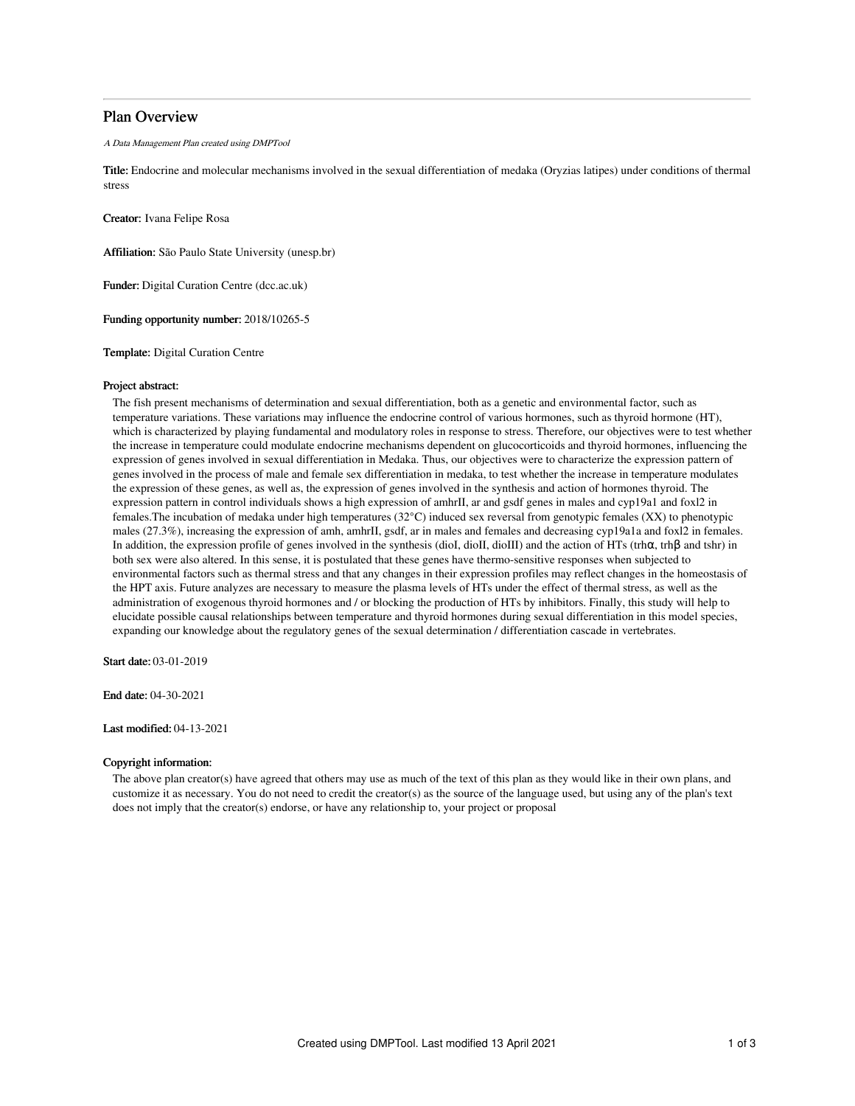# Plan Overview

A Data Management Plan created using DMPTool

Title: Endocrine and molecular mechanisms involved in the sexual differentiation of medaka (Oryzias latipes) under conditions of thermal stress

Creator: Ivana Felipe Rosa

Affiliation: São Paulo State University (unesp.br)

Funder: Digital Curation Centre (dcc.ac.uk)

Funding opportunity number: 2018/10265-5

Template: Digital Curation Centre

#### Project abstract:

The fish present mechanisms of determination and sexual differentiation, both as a genetic and environmental factor, such as temperature variations. These variations may influence the endocrine control of various hormones, such as thyroid hormone (HT), which is characterized by playing fundamental and modulatory roles in response to stress. Therefore, our objectives were to test whether the increase in temperature could modulate endocrine mechanisms dependent on glucocorticoids and thyroid hormones, influencing the expression of genes involved in sexual differentiation in Medaka. Thus, our objectives were to characterize the expression pattern of genes involved in the process of male and female sex differentiation in medaka, to test whether the increase in temperature modulates the expression of these genes, as well as, the expression of genes involved in the synthesis and action of hormones thyroid. The expression pattern in control individuals shows a high expression of amhrII, ar and gsdf genes in males and cyp19a1 and foxl2 in females.The incubation of medaka under high temperatures (32°C) induced sex reversal from genotypic females (XX) to phenotypic males (27.3%), increasing the expression of amh, amhrII, gsdf, ar in males and females and decreasing cyp19a1a and foxl2 in females. In addition, the expression profile of genes involved in the synthesis (dioI, dioII, dioIII) and the action of HTs (trhα, trhβ and tshr) in both sex were also altered. In this sense, it is postulated that these genes have thermo-sensitive responses when subjected to environmental factors such as thermal stress and that any changes in their expression profiles may reflect changes in the homeostasis of the HPT axis. Future analyzes are necessary to measure the plasma levels of HTs under the effect of thermal stress, as well as the administration of exogenous thyroid hormones and / or blocking the production of HTs by inhibitors. Finally, this study will help to elucidate possible causal relationships between temperature and thyroid hormones during sexual differentiation in this model species, expanding our knowledge about the regulatory genes of the sexual determination / differentiation cascade in vertebrates.

Start date: 03-01-2019

End date: 04-30-2021

Last modified: 04-13-2021

# Copyright information:

The above plan creator(s) have agreed that others may use as much of the text of this plan as they would like in their own plans, and customize it as necessary. You do not need to credit the creator(s) as the source of the language used, but using any of the plan's text does not imply that the creator(s) endorse, or have any relationship to, your project or proposal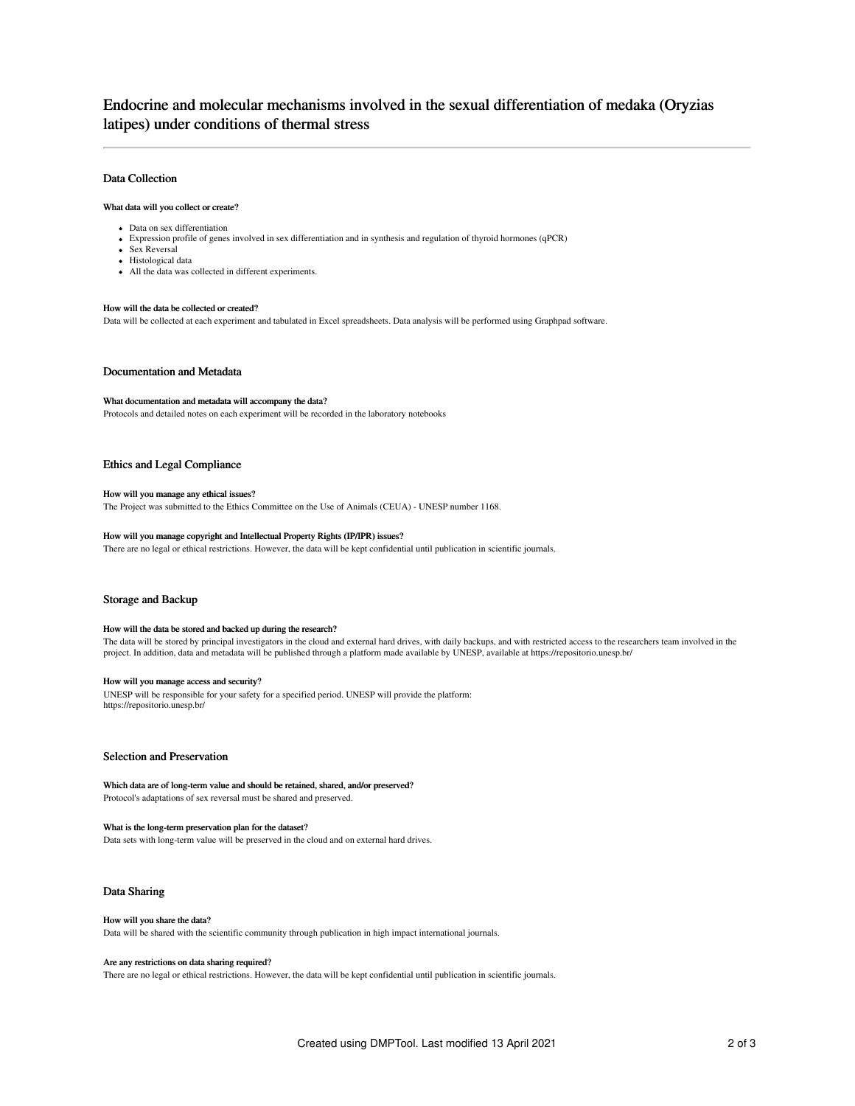# Endocrine and molecular mechanisms involved in the sexual differentiation of medaka (Oryzias latipes) under conditions of thermal stress

# Data Collection

#### What data will you collect or create?

- Data on sex differentiation
- Expression profile of genes involved in sex differentiation and in synthesis and regulation of thyroid hormones (qPCR)
- Sex Reversal
- Histological data
- All the data was collected in different experiments.

# How will the data be collected or created?

Data will be collected at each experiment and tabulated in Excel spreadsheets. Data analysis will be performed using Graphpad software.

## Documentation and Metadata

#### What documentation and metadata will accompany the data?

Protocols and detailed notes on each experiment will be recorded in the laboratory notebooks

## Ethics and Legal Compliance

#### How will you manage any ethical issues?

The Project was submitted to the Ethics Committee on the Use of Animals (CEUA) - UNESP number 1168.

# How will you manage copyright and Intellectual Property Rights (IP/IPR) issues?

There are no legal or ethical restrictions. However, the data will be kept confidential until publication in scientific journals.

### Storage and Backup

### How will the data be stored and backed up during the research?

The data will be stored by principal investigators in the cloud and external hard drives, with daily backups, and with restricted access to the researchers team involved in the project. In addition, data and metadata will be published through a platform made available by UNESP, available at https://repositorio.unesp.br/

### How will you manage access and security?

UNESP will be responsible for your safety for a specified period. UNESP will provide the platform: https://repositorio.unesp.br/

# Selection and Preservation

#### Which data are of long-term value and should be retained, shared, and/or preserved? Protocol's adaptations of sex reversal must be shared and preserved.

What is the long-term preservation plan for the dataset? Data sets with long-term value will be preserved in the cloud and on external hard drives.

### Data Sharing

#### How will you share the data?

Data will be shared with the scientific community through publication in high impact international journals.

#### Are any restrictions on data sharing required?

There are no legal or ethical restrictions. However, the data will be kept confidential until publication in scientific journals.